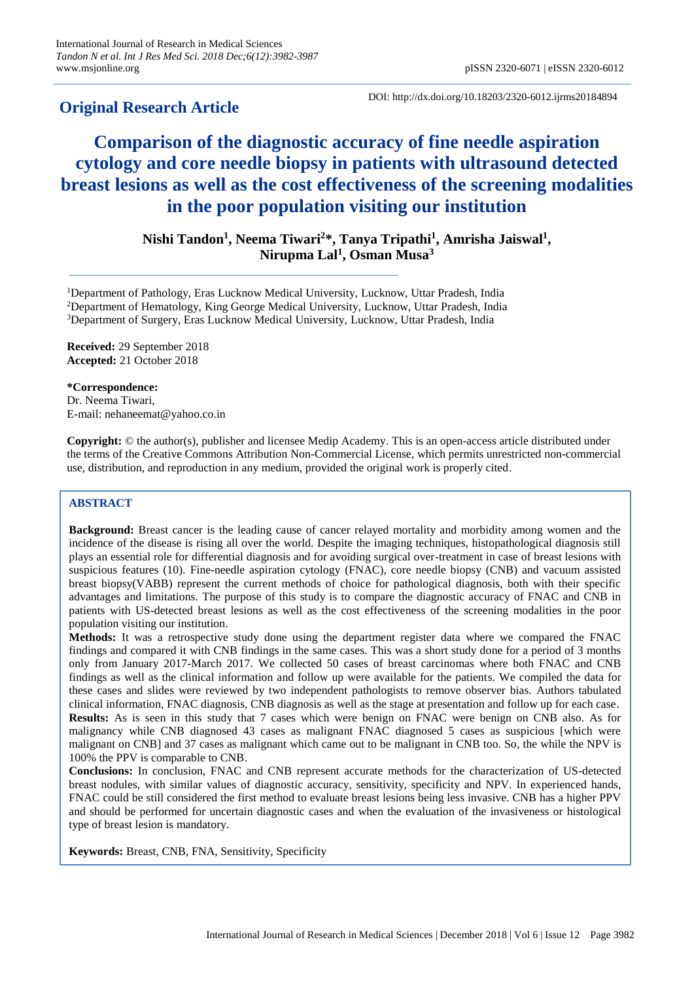## **Original Research Article**

DOI: http://dx.doi.org/10.18203/2320-6012.ijrms20184894

# **Comparison of the diagnostic accuracy of fine needle aspiration cytology and core needle biopsy in patients with ultrasound detected breast lesions as well as the cost effectiveness of the screening modalities in the poor population visiting our institution**

**Nishi Tandon<sup>1</sup> , Neema Tiwari<sup>2</sup>\*, Tanya Tripathi<sup>1</sup> , Amrisha Jaiswal<sup>1</sup> , Nirupma Lal<sup>1</sup> , Osman Musa<sup>3</sup>**

<sup>1</sup>Department of Pathology, Eras Lucknow Medical University, Lucknow, Uttar Pradesh, India <sup>2</sup>Department of Hematology, King George Medical University, Lucknow, Uttar Pradesh, India <sup>3</sup>Department of Surgery, Eras Lucknow Medical University, Lucknow, Uttar Pradesh, India

**Received:** 29 September 2018 **Accepted:** 21 October 2018

**\*Correspondence:** Dr. Neema Tiwari, E-mail: nehaneemat@yahoo.co.in

**Copyright:** © the author(s), publisher and licensee Medip Academy. This is an open-access article distributed under the terms of the Creative Commons Attribution Non-Commercial License, which permits unrestricted non-commercial use, distribution, and reproduction in any medium, provided the original work is properly cited.

## **ABSTRACT**

**Background:** Breast cancer is the leading cause of cancer relayed mortality and morbidity among women and the incidence of the disease is rising all over the world. Despite the imaging techniques, histopathological diagnosis still plays an essential role for differential diagnosis and for avoiding surgical over-treatment in case of breast lesions with suspicious features (10). Fine-needle aspiration cytology (FNAC), core needle biopsy (CNB) and vacuum assisted breast biopsy(VABB) represent the current methods of choice for pathological diagnosis, both with their specific advantages and limitations. The purpose of this study is to compare the diagnostic accuracy of FNAC and CNB in patients with US-detected breast lesions as well as the cost effectiveness of the screening modalities in the poor population visiting our institution.

**Methods:** It was a retrospective study done using the department register data where we compared the FNAC findings and compared it with CNB findings in the same cases. This was a short study done for a period of 3 months only from January 2017-March 2017. We collected 50 cases of breast carcinomas where both FNAC and CNB findings as well as the clinical information and follow up were available for the patients. We compiled the data for these cases and slides were reviewed by two independent pathologists to remove observer bias. Authors tabulated clinical information, FNAC diagnosis, CNB diagnosis as well as the stage at presentation and follow up for each case. **Results:** As is seen in this study that 7 cases which were benign on FNAC were benign on CNB also. As for malignancy while CNB diagnosed 43 cases as malignant FNAC diagnosed 5 cases as suspicious [which were malignant on CNB] and 37 cases as malignant which came out to be malignant in CNB too. So, the while the NPV is 100% the PPV is comparable to CNB.

**Conclusions:** In conclusion, FNAC and CNB represent accurate methods for the characterization of US-detected breast nodules, with similar values of diagnostic accuracy, sensitivity, specificity and NPV. In experienced hands, FNAC could be still considered the first method to evaluate breast lesions being less invasive. CNB has a higher PPV and should be performed for uncertain diagnostic cases and when the evaluation of the invasiveness or histological type of breast lesion is mandatory.

**Keywords:** Breast, CNB, FNA, Sensitivity, Specificity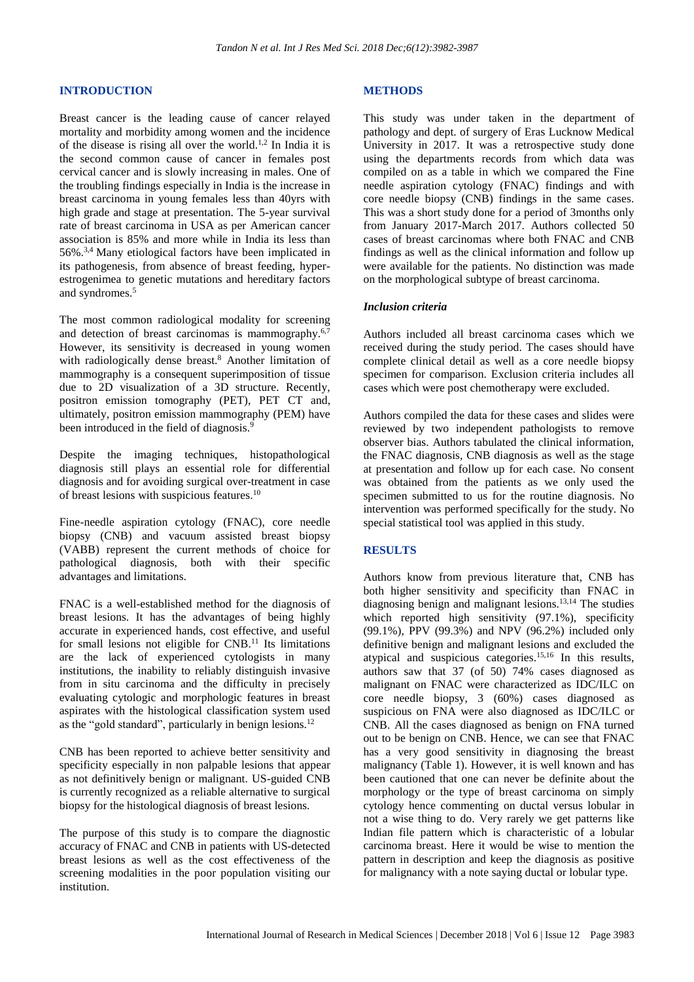#### **INTRODUCTION**

Breast cancer is the leading cause of cancer relayed mortality and morbidity among women and the incidence of the disease is rising all over the world.<sup>1,2</sup> In India it is the second common cause of cancer in females post cervical cancer and is slowly increasing in males. One of the troubling findings especially in India is the increase in breast carcinoma in young females less than 40yrs with high grade and stage at presentation. The 5-year survival rate of breast carcinoma in USA as per American cancer association is 85% and more while in India its less than 56%. 3,4 Many etiological factors have been implicated in its pathogenesis, from absence of breast feeding, hyperestrogenimea to genetic mutations and hereditary factors and syndromes. 5

The most common radiological modality for screening and detection of breast carcinomas is mammography.<sup>6,7</sup> However, its sensitivity is decreased in young women with radiologically dense breast. <sup>8</sup> Another limitation of mammography is a consequent superimposition of tissue due to 2D visualization of a 3D structure. Recently, positron emission tomography (PET), PET CT and, ultimately, positron emission mammography (PEM) have been introduced in the field of diagnosis.<sup>9</sup>

Despite the imaging techniques, histopathological diagnosis still plays an essential role for differential diagnosis and for avoiding surgical over-treatment in case of breast lesions with suspicious features. 10

Fine-needle aspiration cytology (FNAC), core needle biopsy (CNB) and vacuum assisted breast biopsy (VABB) represent the current methods of choice for pathological diagnosis, both with their specific advantages and limitations.

FNAC is a well-established method for the diagnosis of breast lesions. It has the advantages of being highly accurate in experienced hands, cost effective, and useful for small lesions not eligible for  $CNB$ .<sup>11</sup> Its limitations are the lack of experienced cytologists in many institutions, the inability to reliably distinguish invasive from in situ carcinoma and the difficulty in precisely evaluating cytologic and morphologic features in breast aspirates with the histological classification system used as the "gold standard", particularly in benign lesions. 12

CNB has been reported to achieve better sensitivity and specificity especially in non palpable lesions that appear as not definitively benign or malignant. US-guided CNB is currently recognized as a reliable alternative to surgical biopsy for the histological diagnosis of breast lesions.

The purpose of this study is to compare the diagnostic accuracy of FNAC and CNB in patients with US-detected breast lesions as well as the cost effectiveness of the screening modalities in the poor population visiting our institution.

#### **METHODS**

This study was under taken in the department of pathology and dept. of surgery of Eras Lucknow Medical University in 2017. It was a retrospective study done using the departments records from which data was compiled on as a table in which we compared the Fine needle aspiration cytology (FNAC) findings and with core needle biopsy (CNB) findings in the same cases. This was a short study done for a period of 3months only from January 2017-March 2017. Authors collected 50 cases of breast carcinomas where both FNAC and CNB findings as well as the clinical information and follow up were available for the patients. No distinction was made on the morphological subtype of breast carcinoma.

#### *Inclusion criteria*

Authors included all breast carcinoma cases which we received during the study period. The cases should have complete clinical detail as well as a core needle biopsy specimen for comparison. Exclusion criteria includes all cases which were post chemotherapy were excluded.

Authors compiled the data for these cases and slides were reviewed by two independent pathologists to remove observer bias. Authors tabulated the clinical information, the FNAC diagnosis, CNB diagnosis as well as the stage at presentation and follow up for each case. No consent was obtained from the patients as we only used the specimen submitted to us for the routine diagnosis. No intervention was performed specifically for the study. No special statistical tool was applied in this study.

#### **RESULTS**

Authors know from previous literature that, CNB has both higher sensitivity and specificity than FNAC in diagnosing benign and malignant lesions. 13,14 The studies which reported high sensitivity (97.1%), specificity (99.1%), PPV (99.3%) and NPV (96.2%) included only definitive benign and malignant lesions and excluded the atypical and suspicious categories. 15,16 In this results, authors saw that 37 (of 50) 74% cases diagnosed as malignant on FNAC were characterized as IDC/ILC on core needle biopsy, 3 (60%) cases diagnosed as suspicious on FNA were also diagnosed as IDC/ILC or CNB. All the cases diagnosed as benign on FNA turned out to be benign on CNB. Hence, we can see that FNAC has a very good sensitivity in diagnosing the breast malignancy (Table 1). However, it is well known and has been cautioned that one can never be definite about the morphology or the type of breast carcinoma on simply cytology hence commenting on ductal versus lobular in not a wise thing to do. Very rarely we get patterns like Indian file pattern which is characteristic of a lobular carcinoma breast. Here it would be wise to mention the pattern in description and keep the diagnosis as positive for malignancy with a note saying ductal or lobular type.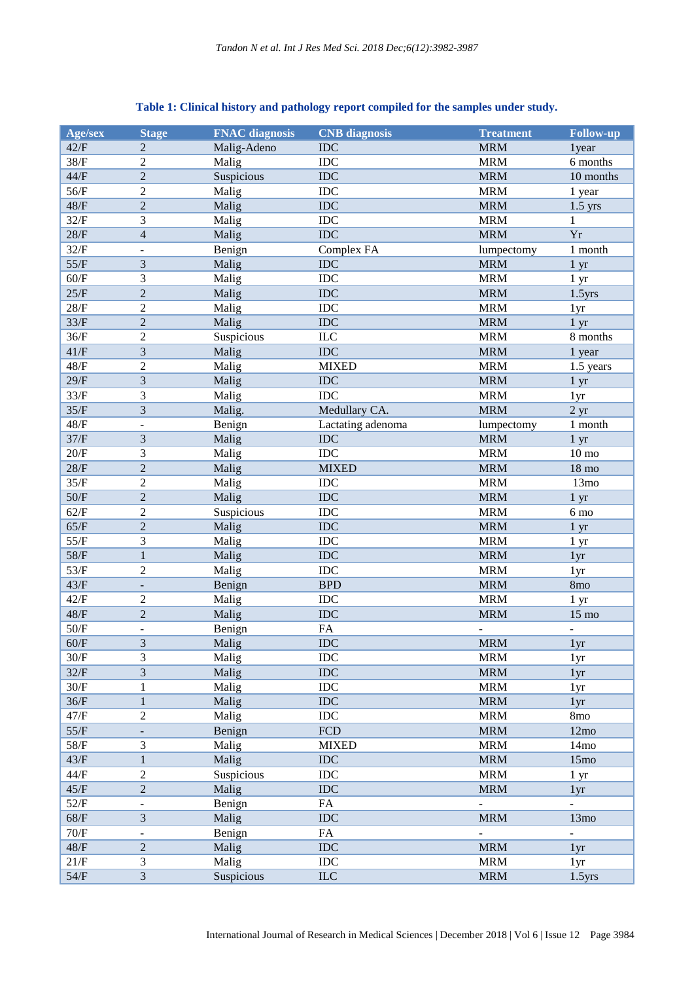| Age/sex | <b>Stage</b>                 | <b>FNAC</b> diagnosis | <b>CNB</b> diagnosis | <b>Treatment</b> | <b>Follow-up</b> |
|---------|------------------------------|-----------------------|----------------------|------------------|------------------|
| 42/F    | 2                            | Malig-Adeno           | <b>IDC</b>           | <b>MRM</b>       | 1year            |
| 38/F    |                              |                       | IDC                  |                  |                  |
|         | $\boldsymbol{2}$             | Malig                 |                      | <b>MRM</b>       | 6 months         |
| $44/F$  | $\overline{c}$               | Suspicious            | IDC                  | <b>MRM</b>       | 10 months        |
| $56/F$  | $\overline{c}$               | Malig                 | IDC                  | <b>MRM</b>       | 1 year           |
| $48/F$  | $\overline{2}$               | Malig                 | <b>IDC</b>           | <b>MRM</b>       | $1.5$ yrs        |
| 32/F    | 3                            | Malig                 | IDC                  | <b>MRM</b>       | 1                |
| $28/F$  | $\overline{\mathcal{L}}$     | Malig                 | <b>IDC</b>           | <b>MRM</b>       | Yr               |
| 32/F    | ÷,                           | Benign                | Complex FA           | lumpectomy       | 1 month          |
| $55/F$  | $\mathfrak{Z}$               | Malig                 | <b>IDC</b>           | <b>MRM</b>       | 1 <sub>yr</sub>  |
| $60/F$  | 3                            | Malig                 | <b>IDC</b>           | <b>MRM</b>       | 1 <sub>yr</sub>  |
| $25/F$  | $\sqrt{2}$                   | Malig                 | <b>IDC</b>           | <b>MRM</b>       | $1.5$ yrs        |
| 28/F    | $\overline{2}$               | Malig                 | IDC                  | <b>MRM</b>       | 1yr              |
| 33/F    | $\overline{c}$               | Malig                 | IDC                  | <b>MRM</b>       | 1 <sub>yr</sub>  |
| 36/F    | $\boldsymbol{2}$             | Suspicious            | <b>ILC</b>           | <b>MRM</b>       | 8 months         |
| 41/F    | $\overline{3}$               | Malig                 | <b>IDC</b>           | <b>MRM</b>       | 1 year           |
| $48/F$  | $\overline{c}$               | Malig                 | <b>MIXED</b>         | <b>MRM</b>       | 1.5 years        |
| 29/F    | 3                            | Malig                 | IDC                  | <b>MRM</b>       | 1 <sub>yr</sub>  |
| 33/F    | 3                            | Malig                 | IDC                  | <b>MRM</b>       | 1 <sub>yr</sub>  |
| 35/F    | 3                            | Malig.                | Medullary CA.        | <b>MRM</b>       | 2 <sub>yr</sub>  |
|         | $\overline{a}$               |                       | Lactating adenoma    |                  |                  |
| $48/F$  |                              | Benign                |                      | lumpectomy       | 1 month          |
| 37/F    | 3                            | Malig                 | <b>IDC</b>           | <b>MRM</b>       | 1 <sub>yr</sub>  |
| $20/F$  | 3                            | Malig                 | IDC                  | <b>MRM</b>       | $10 \text{ mo}$  |
| $28/F$  | $\overline{2}$               | Malig                 | <b>MIXED</b>         | <b>MRM</b>       | $18 \text{ mo}$  |
| 35/F    | $\mathfrak{2}$               | Malig                 | IDC                  | <b>MRM</b>       | 13mo             |
| $50/F$  | $\overline{c}$               | Malig                 | IDC                  | <b>MRM</b>       | 1 yr             |
| 62/F    | $\boldsymbol{2}$             | Suspicious            | IDC                  | <b>MRM</b>       | 6 mo             |
| 65/F    | $\overline{c}$               | Malig                 | <b>IDC</b>           | <b>MRM</b>       | 1 yr             |
| 55/F    | $\mathfrak{Z}$               | Malig                 | IDC                  | <b>MRM</b>       | 1 <sub>yr</sub>  |
| $58/F$  | $\mathbf{1}$                 | Malig                 | <b>IDC</b>           | <b>MRM</b>       | 1yr              |
| 53/F    | $\boldsymbol{2}$             | Malig                 | IDC                  | <b>MRM</b>       | 1 <sub>yr</sub>  |
| $43/F$  | $\overline{a}$               | Benign                | <b>BPD</b>           | <b>MRM</b>       | 8mo              |
| 42/F    | $\overline{c}$               | Malig                 | <b>IDC</b>           | <b>MRM</b>       | 1 <sub>yr</sub>  |
| $48/F$  | $\sqrt{2}$                   | Malig                 | <b>IDC</b>           | <b>MRM</b>       | $15 \text{ mo}$  |
| 50/F    | $\overline{a}$               | Benign                | FA                   |                  |                  |
| 60/F    | 3                            | Malig                 | <b>IDC</b>           | <b>MRM</b>       | 1yr              |
| $30/F$  | 3                            | Malig                 | IDC                  | <b>MRM</b>       | 1yr              |
| 32/F    | $\mathfrak{Z}$               | Malig                 | IDC                  | <b>MRM</b>       | 1yr              |
| 30/F    | $\mathbf{1}$                 | Malig                 | $IDC$                | <b>MRM</b>       | 1 <sub>yr</sub>  |
| 36/F    | $\mathbf 1$                  |                       | <b>IDC</b>           | <b>MRM</b>       |                  |
|         |                              | Malig                 |                      |                  | 1 <sub>yr</sub>  |
| 47/F    | $\boldsymbol{2}$             | Malig                 | $IDC$                | <b>MRM</b>       | 8mo              |
| $55/F$  | $\frac{1}{2}$                | Benign                | <b>FCD</b>           | <b>MRM</b>       | 12mo             |
| $58/F$  | 3                            | Malig                 | <b>MIXED</b>         | <b>MRM</b>       | 14mo             |
| 43/F    | $\,1\,$                      | Malig                 | $IDC$                | <b>MRM</b>       | 15 <sub>mo</sub> |
| 44/F    | $\boldsymbol{2}$             | Suspicious            | $IDC$                | <b>MRM</b>       | 1 <sub>yr</sub>  |
| 45/F    | $\sqrt{2}$                   | Malig                 | $IDC$                | <b>MRM</b>       | 1yr              |
| 52/F    | $\qquad \qquad \blacksquare$ | Benign                | FA                   |                  |                  |
| $68/F$  | 3                            | Malig                 | $IDC$                | <b>MRM</b>       | 13mo             |
| $70/F$  | $\blacksquare$               | Benign                | ${\rm FA}$           | $\equiv$         | $\equiv$         |
| $48/F$  | $\sqrt{2}$                   | Malig                 | $IDC$                | <b>MRM</b>       | 1yr              |
| 21/F    | $\mathfrak{Z}$               | Malig                 | <b>IDC</b>           | <b>MRM</b>       | 1yr              |
| $54/F$  | $\mathfrak{Z}$               | Suspicious            | <b>ILC</b>           | <b>MRM</b>       | $1.5$ yrs        |

### **Table 1: Clinical history and pathology report compiled for the samples under study.**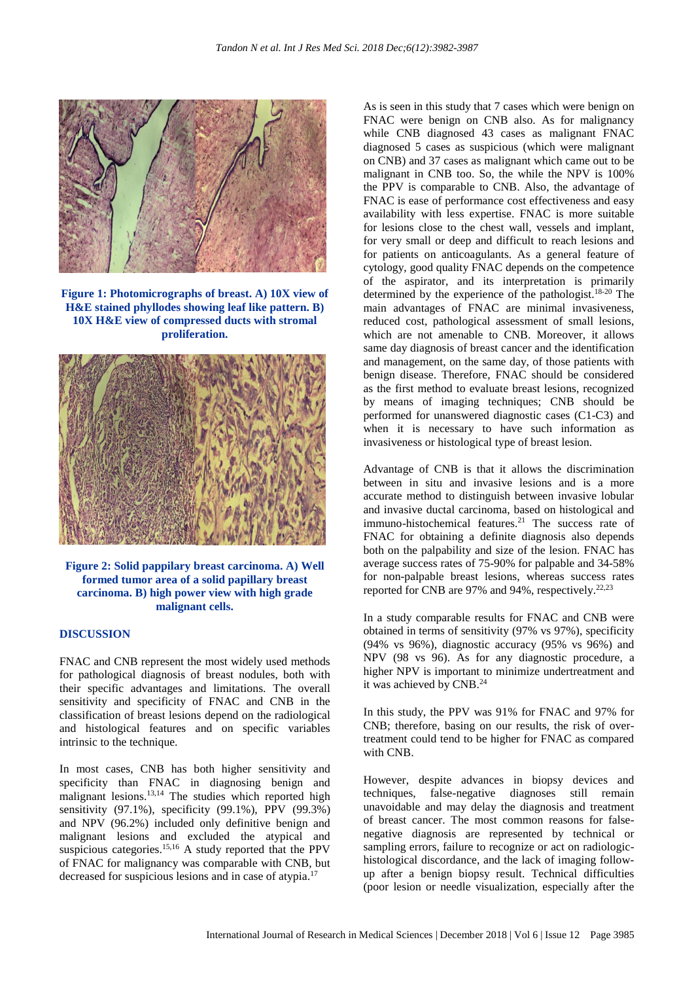

**Figure 1: Photomicrographs of breast. A) 10X view of H&E stained phyllodes showing leaf like pattern. B) 10X H&E view of compressed ducts with stromal proliferation.**



**Figure 2: Solid pappilary breast carcinoma. A) Well formed tumor area of a solid papillary breast carcinoma. B) high power view with high grade malignant cells.**

#### **DISCUSSION**

FNAC and CNB represent the most widely used methods for pathological diagnosis of breast nodules, both with their specific advantages and limitations. The overall sensitivity and specificity of FNAC and CNB in the classification of breast lesions depend on the radiological and histological features and on specific variables intrinsic to the technique.

In most cases, CNB has both higher sensitivity and specificity than FNAC in diagnosing benign and malignant lesions. 13,14 The studies which reported high sensitivity (97.1%), specificity (99.1%), PPV (99.3%) and NPV (96.2%) included only definitive benign and malignant lesions and excluded the atypical and suspicious categories. 15,16 A study reported that the PPV of FNAC for malignancy was comparable with CNB, but decreased for suspicious lesions and in case of atypia. 17

As is seen in this study that 7 cases which were benign on FNAC were benign on CNB also. As for malignancy while CNB diagnosed 43 cases as malignant FNAC diagnosed 5 cases as suspicious (which were malignant on CNB) and 37 cases as malignant which came out to be malignant in CNB too. So, the while the NPV is 100% the PPV is comparable to CNB. Also, the advantage of FNAC is ease of performance cost effectiveness and easy availability with less expertise. FNAC is more suitable for lesions close to the chest wall, vessels and implant, for very small or deep and difficult to reach lesions and for patients on anticoagulants. As a general feature of cytology, good quality FNAC depends on the competence of the aspirator, and its interpretation is primarily determined by the experience of the pathologist. 18-20 The main advantages of FNAC are minimal invasiveness, reduced cost, pathological assessment of small lesions, which are not amenable to CNB. Moreover, it allows same day diagnosis of breast cancer and the identification and management, on the same day, of those patients with benign disease. Therefore, FNAC should be considered as the first method to evaluate breast lesions, recognized by means of imaging techniques; CNB should be performed for unanswered diagnostic cases (C1-C3) and when it is necessary to have such information as invasiveness or histological type of breast lesion.

Advantage of CNB is that it allows the discrimination between in situ and invasive lesions and is a more accurate method to distinguish between invasive lobular and invasive ductal carcinoma, based on histological and immuno-histochemical features.<sup>21</sup> The success rate of FNAC for obtaining a definite diagnosis also depends both on the palpability and size of the lesion. FNAC has average success rates of 75-90% for palpable and 34-58% for non-palpable breast lesions, whereas success rates reported for CNB are 97% and 94%, respectively.<sup>22,23</sup>

In a study comparable results for FNAC and CNB were obtained in terms of sensitivity (97% vs 97%), specificity (94% vs 96%), diagnostic accuracy (95% vs 96%) and NPV (98 vs 96). As for any diagnostic procedure, a higher NPV is important to minimize undertreatment and it was achieved by CNB.<sup>24</sup>

In this study, the PPV was 91% for FNAC and 97% for CNB; therefore, basing on our results, the risk of overtreatment could tend to be higher for FNAC as compared with CNB.

However, despite advances in biopsy devices and techniques, false-negative diagnoses still remain unavoidable and may delay the diagnosis and treatment of breast cancer. The most common reasons for falsenegative diagnosis are represented by technical or sampling errors, failure to recognize or act on radiologichistological discordance, and the lack of imaging followup after a benign biopsy result. Technical difficulties (poor lesion or needle visualization, especially after the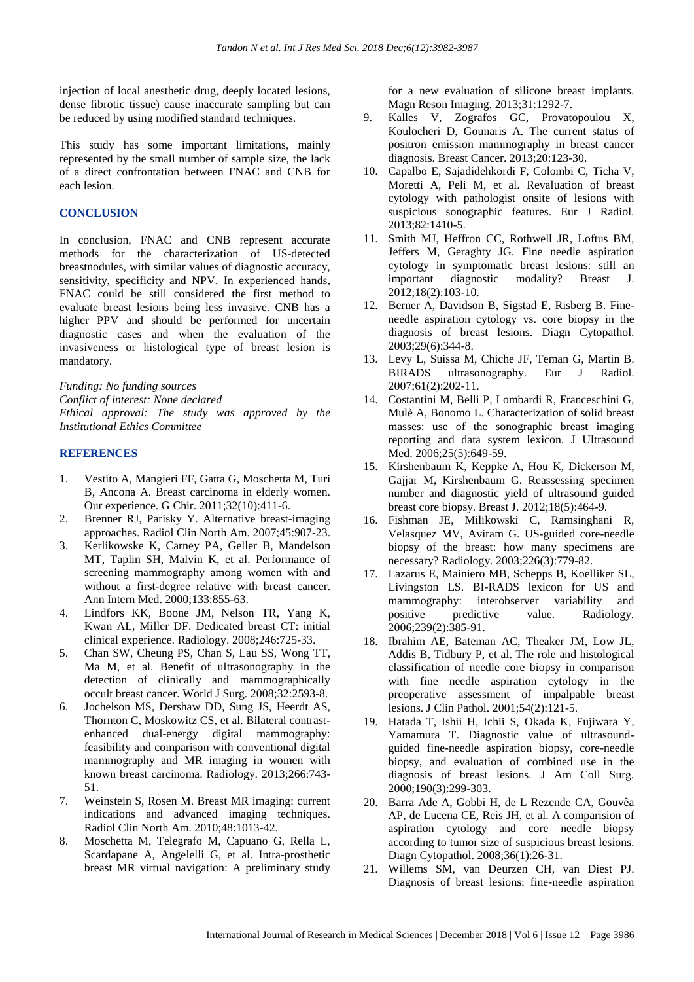injection of local anesthetic drug, deeply located lesions, dense fibrotic tissue) cause inaccurate sampling but can be reduced by using modified standard techniques.

This study has some important limitations, mainly represented by the small number of sample size, the lack of a direct confrontation between FNAC and CNB for each lesion.

#### **CONCLUSION**

In conclusion, FNAC and CNB represent accurate methods for the characterization of US-detected breastnodules, with similar values of diagnostic accuracy, sensitivity, specificity and NPV. In experienced hands, FNAC could be still considered the first method to evaluate breast lesions being less invasive. CNB has a higher PPV and should be performed for uncertain diagnostic cases and when the evaluation of the invasiveness or histological type of breast lesion is mandatory.

*Funding: No funding sources Conflict of interest: None declared Ethical approval: The study was approved by the Institutional Ethics Committee*

#### **REFERENCES**

- 1. Vestito A, Mangieri FF, Gatta G, Moschetta M, Turi B, Ancona A. Breast carcinoma in elderly women. Our experience. G Chir. 2011;32(10):411-6.
- 2. Brenner RJ, Parisky Y. Alternative breast-imaging approaches. Radiol Clin North Am. 2007;45:907-23.
- 3. Kerlikowske K, Carney PA, Geller B, Mandelson MT, Taplin SH, Malvin K, et al. Performance of screening mammography among women with and without a first-degree relative with breast cancer. Ann Intern Med. 2000;133:855-63.
- 4. Lindfors KK, Boone JM, Nelson TR, Yang K, Kwan AL, Miller DF. Dedicated breast CT: initial clinical experience. Radiology. 2008;246:725-33.
- 5. Chan SW, Cheung PS, Chan S, Lau SS, Wong TT, Ma M, et al. Benefit of ultrasonography in the detection of clinically and mammographically occult breast cancer. World J Surg. 2008;32:2593-8.
- 6. Jochelson MS, Dershaw DD, Sung JS, Heerdt AS, Thornton C, Moskowitz CS, et al. Bilateral contrastenhanced dual-energy digital mammography: feasibility and comparison with conventional digital mammography and MR imaging in women with known breast carcinoma. Radiology. 2013;266:743- 51.
- 7. Weinstein S, Rosen M. Breast MR imaging: current indications and advanced imaging techniques. Radiol Clin North Am. 2010;48:1013-42.
- 8. Moschetta M, Telegrafo M, Capuano G, Rella L, Scardapane A, Angelelli G, et al. Intra-prosthetic breast MR virtual navigation: A preliminary study

for a new evaluation of silicone breast implants. Magn Reson Imaging. 2013;31:1292-7.

- 9. Kalles V, Zografos GC, Provatopoulou X, Koulocheri D, Gounaris A. The current status of positron emission mammography in breast cancer diagnosis. Breast Cancer. 2013;20:123-30.
- 10. Capalbo E, Sajadidehkordi F, Colombi C, Ticha V, Moretti A, Peli M, et al. Revaluation of breast cytology with pathologist onsite of lesions with suspicious sonographic features. Eur J Radiol. 2013;82:1410-5.
- 11. Smith MJ, Heffron CC, Rothwell JR, Loftus BM, Jeffers M, Geraghty JG. Fine needle aspiration cytology in symptomatic breast lesions: still an important diagnostic modality? Breast J. 2012;18(2):103-10.
- 12. Berner A, Davidson B, Sigstad E, Risberg B. Fineneedle aspiration cytology vs. core biopsy in the diagnosis of breast lesions. Diagn Cytopathol. 2003;29(6):344-8.
- 13. Levy L, Suissa M, Chiche JF, Teman G, Martin B. BIRADS ultrasonography. Eur J Radiol. 2007;61(2):202-11.
- 14. Costantini M, Belli P, Lombardi R, Franceschini G, Mulè A, Bonomo L. Characterization of solid breast masses: use of the sonographic breast imaging reporting and data system lexicon. J Ultrasound Med. 2006;25(5):649-59.
- 15. Kirshenbaum K, Keppke A, Hou K, Dickerson M, Gajjar M, Kirshenbaum G. Reassessing specimen number and diagnostic yield of ultrasound guided breast core biopsy. Breast J. 2012;18(5):464-9.
- 16. Fishman JE, Milikowski C, Ramsinghani R, Velasquez MV, Aviram G. US-guided core-needle biopsy of the breast: how many specimens are necessary? Radiology. 2003;226(3):779-82.
- 17. Lazarus E, Mainiero MB, Schepps B, Koelliker SL, Livingston LS. BI-RADS lexicon for US and mammography: interobserver variability and positive predictive value. Radiology. 2006;239(2):385-91.
- 18. Ibrahim AE, Bateman AC, Theaker JM, Low JL, Addis B, Tidbury P, et al. The role and histological classification of needle core biopsy in comparison with fine needle aspiration cytology in the preoperative assessment of impalpable breast lesions. J Clin Pathol. 2001;54(2):121-5.
- 19. Hatada T, Ishii H, Ichii S, Okada K, Fujiwara Y, Yamamura T. Diagnostic value of ultrasoundguided fine-needle aspiration biopsy, core-needle biopsy, and evaluation of combined use in the diagnosis of breast lesions. J Am Coll Surg. 2000;190(3):299-303.
- 20. Barra Ade A, Gobbi H, de L Rezende CA, Gouvêa AP, de Lucena CE, Reis JH, et al. A comparision of aspiration cytology and core needle biopsy according to tumor size of suspicious breast lesions. Diagn Cytopathol. 2008;36(1):26-31.
- 21. Willems SM, van Deurzen CH, van Diest PJ. Diagnosis of breast lesions: fine-needle aspiration